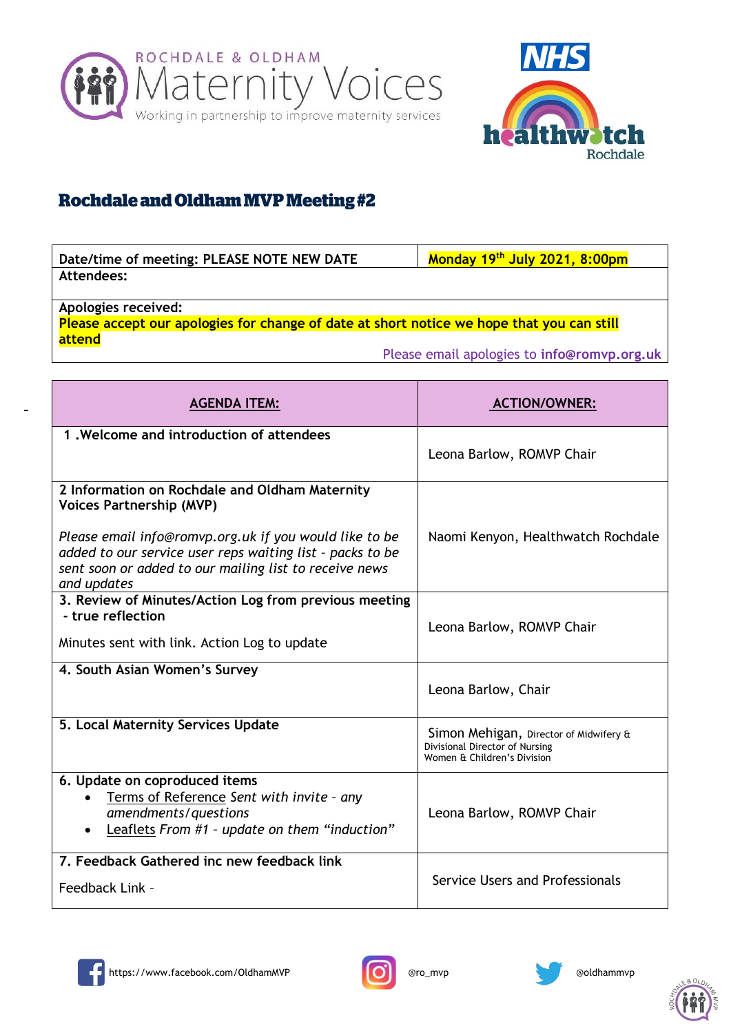



## **Rochdale and Oldham MVP Meeting #2**

| Date/time of meeting: PLEASE NOTE NEW DATE | Monday 19 <sup>th</sup> July 2021, 8:00pm |
|--------------------------------------------|-------------------------------------------|
| Attendees:                                 |                                           |

**Apologies received:**

**Please accept our apologies for change of date at short notice we hope that you can still attend**

Please email apologies to **info@romvp.org.uk**

| <b>AGENDA ITEM:</b>                                                                                                                                                                          | <b>ACTION/OWNER:</b>                                                                                    |
|----------------------------------------------------------------------------------------------------------------------------------------------------------------------------------------------|---------------------------------------------------------------------------------------------------------|
| 1. Welcome and introduction of attendees                                                                                                                                                     | Leona Barlow, ROMVP Chair                                                                               |
| 2 Information on Rochdale and Oldham Maternity<br><b>Voices Partnership (MVP)</b>                                                                                                            |                                                                                                         |
| Please email info@romvp.org.uk if you would like to be<br>added to our service user reps waiting list - packs to be<br>sent soon or added to our mailing list to receive news<br>and updates | Naomi Kenyon, Healthwatch Rochdale                                                                      |
| 3. Review of Minutes/Action Log from previous meeting<br>- true reflection                                                                                                                   | Leona Barlow, ROMVP Chair                                                                               |
| Minutes sent with link. Action Log to update                                                                                                                                                 |                                                                                                         |
| 4. South Asian Women's Survey                                                                                                                                                                | Leona Barlow, Chair                                                                                     |
| 5. Local Maternity Services Update                                                                                                                                                           | Simon Mehigan, Director of Midwifery &<br>Divisional Director of Nursing<br>Women & Children's Division |
| 6. Update on coproduced items<br>Terms of Reference Sent with invite - any                                                                                                                   |                                                                                                         |
| amendments/questions<br>Leaflets From #1 - update on them "induction"                                                                                                                        | Leona Barlow, ROMVP Chair                                                                               |
| 7. Feedback Gathered inc new feedback link                                                                                                                                                   | Service Users and Professionals                                                                         |
| Feedback Link -                                                                                                                                                                              |                                                                                                         |